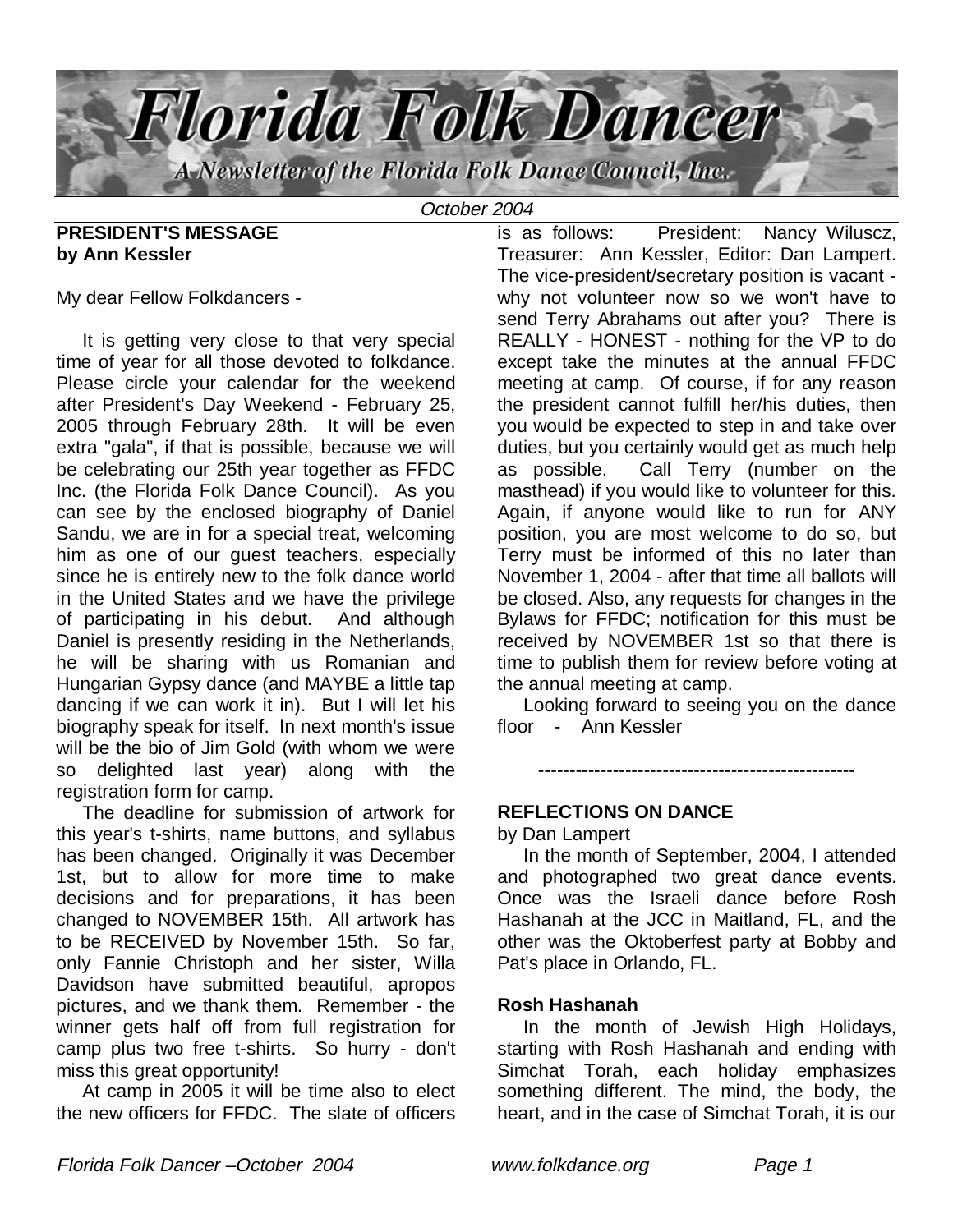

October 2004

### **PRESIDENT'S MESSAGE by Ann Kessler**

My dear Fellow Folkdancers -

 It is getting very close to that very special time of year for all those devoted to folkdance. Please circle your calendar for the weekend after President's Day Weekend - February 25, 2005 through February 28th. It will be even extra "gala", if that is possible, because we will be celebrating our 25th year together as FFDC Inc. (the Florida Folk Dance Council). As you can see by the enclosed biography of Daniel Sandu, we are in for a special treat, welcoming him as one of our guest teachers, especially since he is entirely new to the folk dance world in the United States and we have the privilege of participating in his debut. And although Daniel is presently residing in the Netherlands, he will be sharing with us Romanian and Hungarian Gypsy dance (and MAYBE a little tap dancing if we can work it in). But I will let his biography speak for itself. In next month's issue will be the bio of Jim Gold (with whom we were so delighted last year) along with the registration form for camp.

 The deadline for submission of artwork for this year's t-shirts, name buttons, and syllabus has been changed. Originally it was December 1st, but to allow for more time to make decisions and for preparations, it has been changed to NOVEMBER 15th. All artwork has to be RECEIVED by November 15th. So far, only Fannie Christoph and her sister, Willa Davidson have submitted beautiful, apropos pictures, and we thank them. Remember - the winner gets half off from full registration for camp plus two free t-shirts. So hurry - don't miss this great opportunity!

 At camp in 2005 it will be time also to elect the new officers for FFDC. The slate of officers

is as follows: President: Nancy Wiluscz, Treasurer: Ann Kessler, Editor: Dan Lampert. The vice-president/secretary position is vacant why not volunteer now so we won't have to send Terry Abrahams out after you? There is REALLY - HONEST - nothing for the VP to do except take the minutes at the annual FFDC meeting at camp. Of course, if for any reason the president cannot fulfill her/his duties, then you would be expected to step in and take over duties, but you certainly would get as much help as possible. Call Terry (number on the masthead) if you would like to volunteer for this. Again, if anyone would like to run for ANY position, you are most welcome to do so, but Terry must be informed of this no later than November 1, 2004 - after that time all ballots will be closed. Also, any requests for changes in the Bylaws for FFDC; notification for this must be received by NOVEMBER 1st so that there is time to publish them for review before voting at the annual meeting at camp.

 Looking forward to seeing you on the dance floor - Ann Kessler

---------------------------------------------------

### **REFLECTIONS ON DANCE**

by Dan Lampert

 In the month of September, 2004, I attended and photographed two great dance events. Once was the Israeli dance before Rosh Hashanah at the JCC in Maitland, FL, and the other was the Oktoberfest party at Bobby and Pat's place in Orlando, FL.

### **Rosh Hashanah**

 In the month of Jewish High Holidays, starting with Rosh Hashanah and ending with Simchat Torah, each holiday emphasizes something different. The mind, the body, the heart, and in the case of Simchat Torah, it is our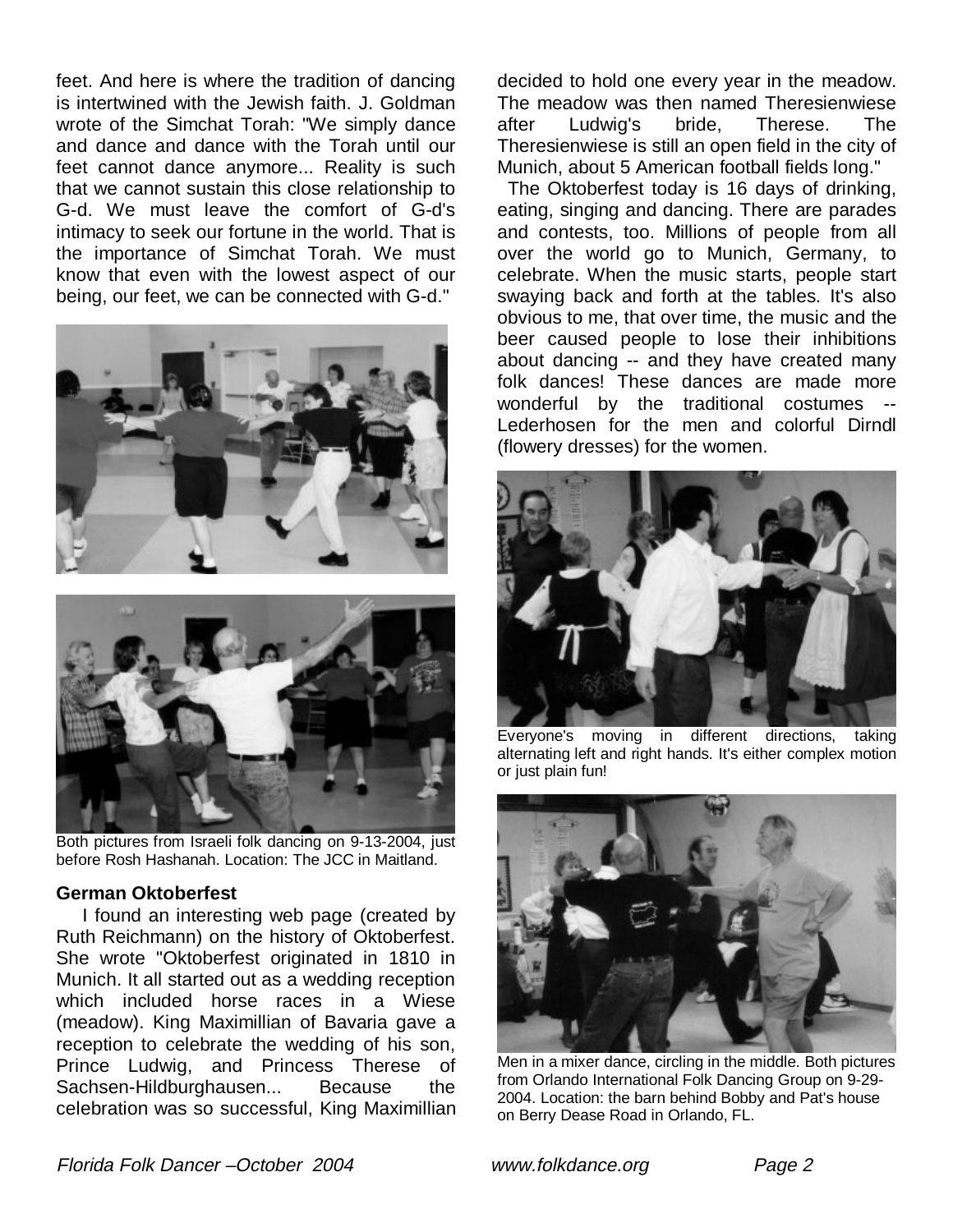feet. And here is where the tradition of dancing is intertwined with the Jewish faith. J. Goldman wrote of the Simchat Torah: "We simply dance and dance and dance with the Torah until our feet cannot dance anymore... Reality is such that we cannot sustain this close relationship to G-d. We must leave the comfort of G-d's intimacy to seek our fortune in the world. That is the importance of Simchat Torah. We must know that even with the lowest aspect of our being, our feet, we can be connected with G-d."





Both pictures from Israeli folk dancing on 9-13-2004, just before Rosh Hashanah. Location: The JCC in Maitland.

### **German Oktoberfest**

 I found an interesting web page (created by Ruth Reichmann) on the history of Oktoberfest. She wrote "Oktoberfest originated in 1810 in Munich. It all started out as a wedding reception which included horse races in a Wiese (meadow). King Maximillian of Bavaria gave a reception to celebrate the wedding of his son, Prince Ludwig, and Princess Therese of Sachsen-Hildburghausen... Because the celebration was so successful, King Maximillian decided to hold one every year in the meadow. The meadow was then named Theresienwiese after Ludwig's bride, Therese. The Theresienwiese is still an open field in the city of Munich, about 5 American football fields long."

 The Oktoberfest today is 16 days of drinking, eating, singing and dancing. There are parades and contests, too. Millions of people from all over the world go to Munich, Germany, to celebrate. When the music starts, people start swaying back and forth at the tables. It's also obvious to me, that over time, the music and the beer caused people to lose their inhibitions about dancing -- and they have created many folk dances! These dances are made more wonderful by the traditional costumes -- Lederhosen for the men and colorful Dirndl (flowery dresses) for the women.



Everyone's moving in different directions, taking alternating left and right hands. It's either complex motion or just plain fun!



Men in a mixer dance, circling in the middle. Both pictures from Orlando International Folk Dancing Group on 9-29- 2004. Location: the barn behind Bobby and Pat's house on Berry Dease Road in Orlando, FL.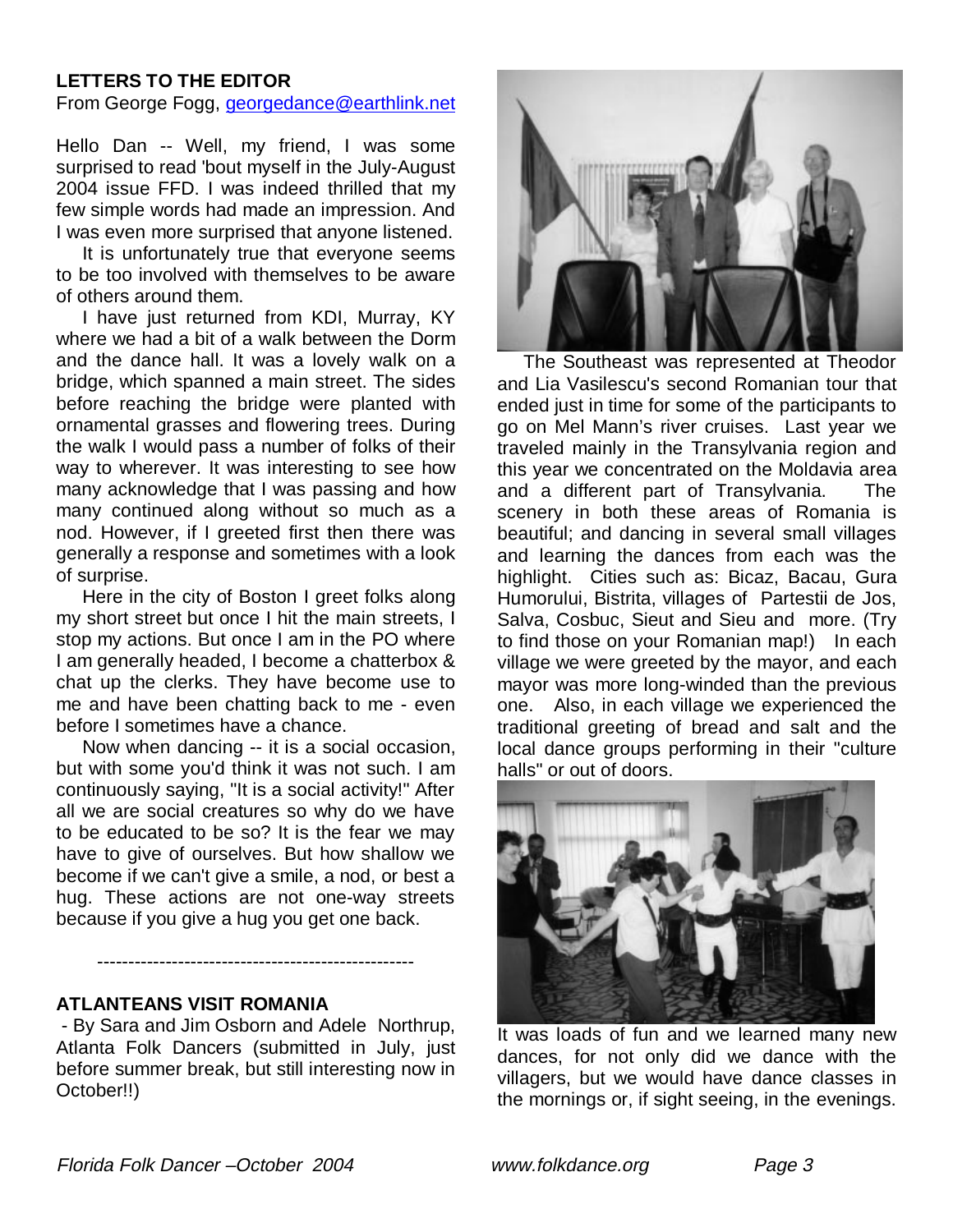# **LETTERS TO THE EDITOR**

From George Fogg, georgedance@earthlink.net

Hello Dan -- Well, my friend, I was some surprised to read 'bout myself in the July-August 2004 issue FFD. I was indeed thrilled that my few simple words had made an impression. And I was even more surprised that anyone listened.

 It is unfortunately true that everyone seems to be too involved with themselves to be aware of others around them.

 I have just returned from KDI, Murray, KY where we had a bit of a walk between the Dorm and the dance hall. It was a lovely walk on a bridge, which spanned a main street. The sides before reaching the bridge were planted with ornamental grasses and flowering trees. During the walk I would pass a number of folks of their way to wherever. It was interesting to see how many acknowledge that I was passing and how many continued along without so much as a nod. However, if I greeted first then there was generally a response and sometimes with a look of surprise.

 Here in the city of Boston I greet folks along my short street but once I hit the main streets, I stop my actions. But once I am in the PO where I am generally headed, I become a chatterbox & chat up the clerks. They have become use to me and have been chatting back to me - even before I sometimes have a chance.

 Now when dancing -- it is a social occasion, but with some you'd think it was not such. I am continuously saying, "It is a social activity!" After all we are social creatures so why do we have to be educated to be so? It is the fear we may have to give of ourselves. But how shallow we become if we can't give a smile, a nod, or best a hug. These actions are not one-way streets because if you give a hug you get one back.

### **ATLANTEANS VISIT ROMANIA**

 - By Sara and Jim Osborn and Adele Northrup, Atlanta Folk Dancers (submitted in July, just before summer break, but still interesting now in October!!)

---------------------------------------------------



 The Southeast was represented at Theodor and Lia Vasilescu's second Romanian tour that ended just in time for some of the participants to go on Mel Mann's river cruises. Last year we traveled mainly in the Transylvania region and this year we concentrated on the Moldavia area and a different part of Transylvania. The scenery in both these areas of Romania is beautiful; and dancing in several small villages and learning the dances from each was the highlight. Cities such as: Bicaz, Bacau, Gura Humorului, Bistrita, villages of Partestii de Jos, Salva, Cosbuc, Sieut and Sieu and more. (Try to find those on your Romanian map!) In each village we were greeted by the mayor, and each mayor was more long-winded than the previous one. Also, in each village we experienced the traditional greeting of bread and salt and the local dance groups performing in their "culture halls" or out of doors.



It was loads of fun and we learned many new dances, for not only did we dance with the villagers, but we would have dance classes in the mornings or, if sight seeing, in the evenings.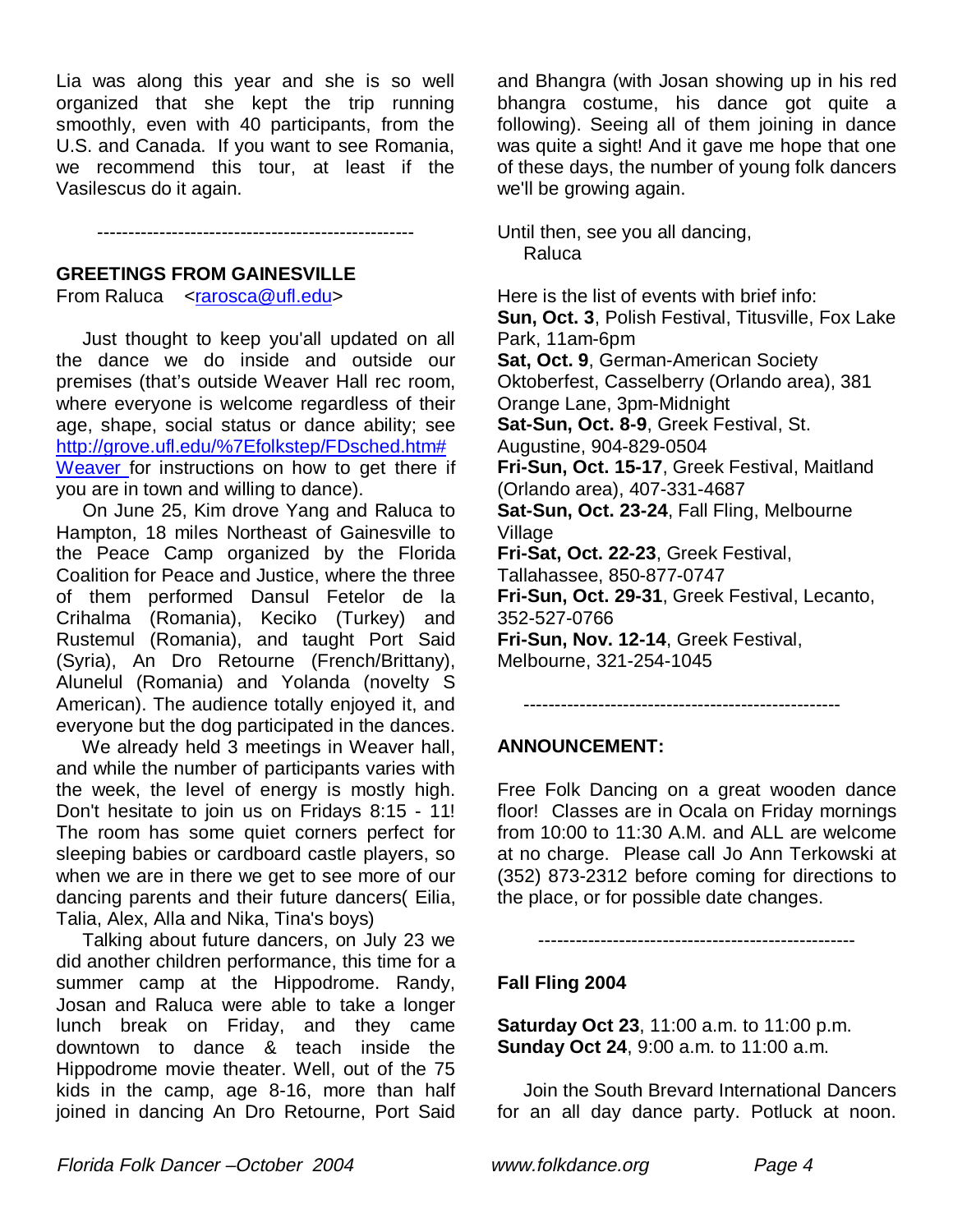Lia was along this year and she is so well organized that she kept the trip running smoothly, even with 40 participants, from the U.S. and Canada. If you want to see Romania, we recommend this tour, at least if the Vasilescus do it again.

---------------------------------------------------

### **GREETINGS FROM GAINESVILLE**

From Raluca <rarosca@ufl.edu>

 Just thought to keep you'all updated on all the dance we do inside and outside our premises (that's outside Weaver Hall rec room, where everyone is welcome regardless of their age, shape, social status or dance ability; see http://grove.ufl.edu/%7Efolkstep/FDsched.htm# Weaver for instructions on how to get there if you are in town and willing to dance).

 On June 25, Kim drove Yang and Raluca to Hampton, 18 miles Northeast of Gainesville to the Peace Camp organized by the Florida Coalition for Peace and Justice, where the three of them performed Dansul Fetelor de la Crihalma (Romania), Keciko (Turkey) and Rustemul (Romania), and taught Port Said (Syria), An Dro Retourne (French/Brittany), Alunelul (Romania) and Yolanda (novelty S American). The audience totally enjoyed it, and everyone but the dog participated in the dances.

We already held 3 meetings in Weaver hall. and while the number of participants varies with the week, the level of energy is mostly high. Don't hesitate to join us on Fridays 8:15 - 11! The room has some quiet corners perfect for sleeping babies or cardboard castle players, so when we are in there we get to see more of our dancing parents and their future dancers( Eilia, Talia, Alex, Alla and Nika, Tina's boys)

 Talking about future dancers, on July 23 we did another children performance, this time for a summer camp at the Hippodrome. Randy, Josan and Raluca were able to take a longer lunch break on Friday, and they came downtown to dance & teach inside the Hippodrome movie theater. Well, out of the 75 kids in the camp, age 8-16, more than half joined in dancing An Dro Retourne, Port Said

and Bhangra (with Josan showing up in his red bhangra costume, his dance got quite a following). Seeing all of them joining in dance was quite a sight! And it gave me hope that one of these days, the number of young folk dancers we'll be growing again.

Until then, see you all dancing, Raluca

Here is the list of events with brief info: **Sun, Oct. 3**, Polish Festival, Titusville, Fox Lake Park, 11am-6pm **Sat, Oct. 9**, German-American Society Oktoberfest, Casselberry (Orlando area), 381 Orange Lane, 3pm-Midnight **Sat-Sun, Oct. 8-9**, Greek Festival, St. Augustine, 904-829-0504 **Fri-Sun, Oct. 15-17**, Greek Festival, Maitland (Orlando area), 407-331-4687 **Sat-Sun, Oct. 23-24**, Fall Fling, Melbourne Village **Fri-Sat, Oct. 22-23**, Greek Festival, Tallahassee, 850-877-0747 **Fri-Sun, Oct. 29-31**, Greek Festival, Lecanto, 352-527-0766 **Fri-Sun, Nov. 12-14**, Greek Festival, Melbourne, 321-254-1045

#### ---------------------------------------------------

### **ANNOUNCEMENT:**

Free Folk Dancing on a great wooden dance floor! Classes are in Ocala on Friday mornings from 10:00 to 11:30 A.M. and ALL are welcome at no charge. Please call Jo Ann Terkowski at (352) 873-2312 before coming for directions to the place, or for possible date changes.

---------------------------------------------------

### **Fall Fling 2004**

**Saturday Oct 23**, 11:00 a.m. to 11:00 p.m. **Sunday Oct 24**, 9:00 a.m. to 11:00 a.m.

 Join the South Brevard International Dancers for an all day dance party. Potluck at noon.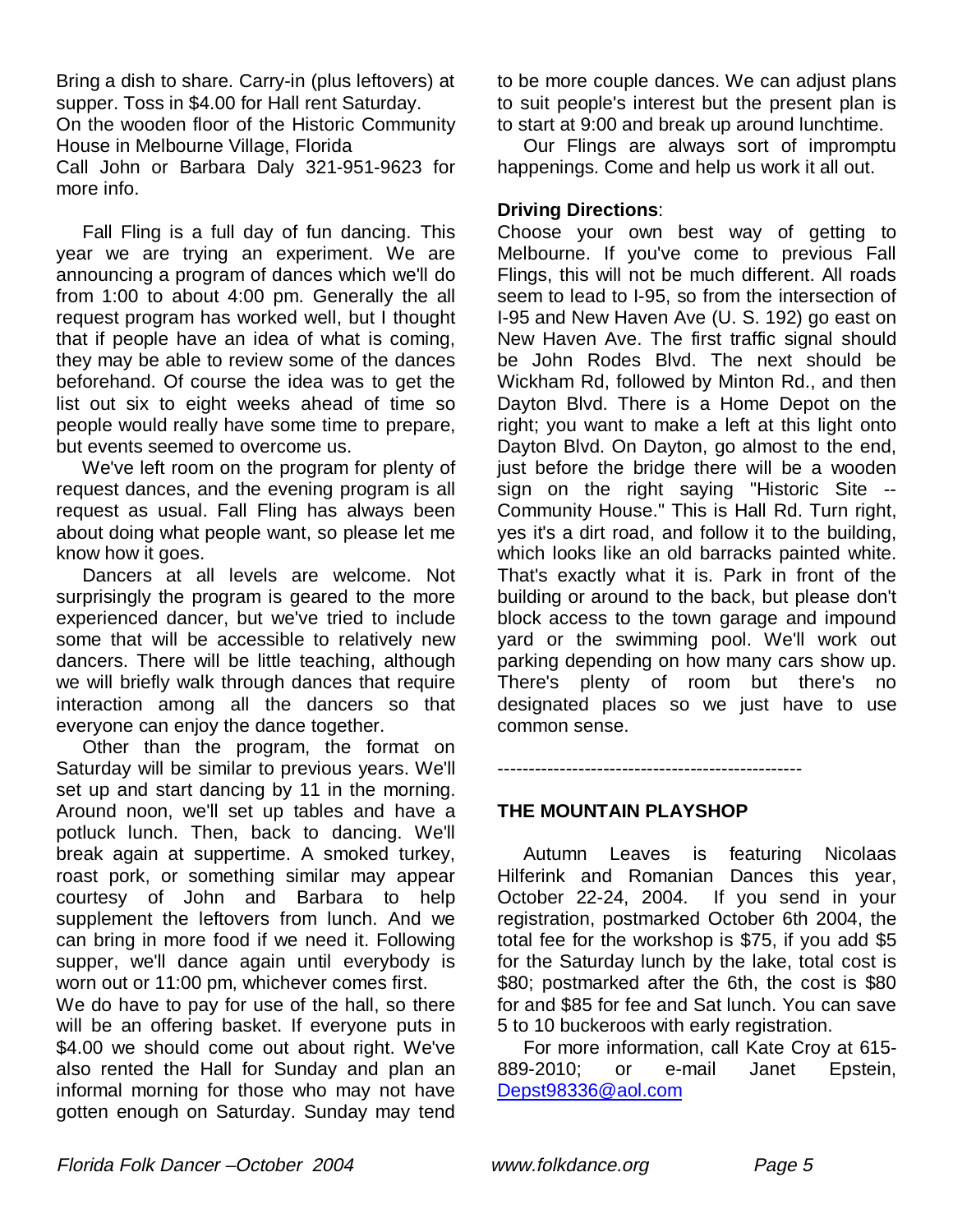Bring a dish to share. Carry-in (plus leftovers) at supper. Toss in \$4.00 for Hall rent Saturday. On the wooden floor of the Historic Community House in Melbourne Village, Florida Call John or Barbara Daly 321-951-9623 for more info.

 Fall Fling is a full day of fun dancing. This year we are trying an experiment. We are announcing a program of dances which we'll do from 1:00 to about 4:00 pm. Generally the all request program has worked well, but I thought that if people have an idea of what is coming, they may be able to review some of the dances beforehand. Of course the idea was to get the list out six to eight weeks ahead of time so people would really have some time to prepare, but events seemed to overcome us.

 We've left room on the program for plenty of request dances, and the evening program is all request as usual. Fall Fling has always been about doing what people want, so please let me know how it goes.

 Dancers at all levels are welcome. Not surprisingly the program is geared to the more experienced dancer, but we've tried to include some that will be accessible to relatively new dancers. There will be little teaching, although we will briefly walk through dances that require interaction among all the dancers so that everyone can enjoy the dance together.

 Other than the program, the format on Saturday will be similar to previous years. We'll set up and start dancing by 11 in the morning. Around noon, we'll set up tables and have a potluck lunch. Then, back to dancing. We'll break again at suppertime. A smoked turkey, roast pork, or something similar may appear courtesy of John and Barbara to help supplement the leftovers from lunch. And we can bring in more food if we need it. Following supper, we'll dance again until everybody is worn out or 11:00 pm, whichever comes first.

We do have to pay for use of the hall, so there will be an offering basket. If everyone puts in \$4.00 we should come out about right. We've also rented the Hall for Sunday and plan an informal morning for those who may not have gotten enough on Saturday. Sunday may tend to be more couple dances. We can adjust plans to suit people's interest but the present plan is to start at 9:00 and break up around lunchtime.

 Our Flings are always sort of impromptu happenings. Come and help us work it all out.

# **Driving Directions**:

Choose your own best way of getting to Melbourne. If you've come to previous Fall Flings, this will not be much different. All roads seem to lead to I-95, so from the intersection of I-95 and New Haven Ave (U. S. 192) go east on New Haven Ave. The first traffic signal should be John Rodes Blvd. The next should be Wickham Rd, followed by Minton Rd., and then Dayton Blvd. There is a Home Depot on the right; you want to make a left at this light onto Dayton Blvd. On Dayton, go almost to the end, just before the bridge there will be a wooden sign on the right saying "Historic Site -- Community House." This is Hall Rd. Turn right, yes it's a dirt road, and follow it to the building, which looks like an old barracks painted white. That's exactly what it is. Park in front of the building or around to the back, but please don't block access to the town garage and impound yard or the swimming pool. We'll work out parking depending on how many cars show up. There's plenty of room but there's no designated places so we just have to use common sense.

# -------------------------------------------------

### **THE MOUNTAIN PLAYSHOP**

 Autumn Leaves is featuring Nicolaas Hilferink and Romanian Dances this year, October 22-24, 2004. If you send in your registration, postmarked October 6th 2004, the total fee for the workshop is \$75, if you add \$5 for the Saturday lunch by the lake, total cost is \$80; postmarked after the 6th, the cost is \$80 for and \$85 for fee and Sat lunch. You can save 5 to 10 buckeroos with early registration.

 For more information, call Kate Croy at 615- 889-2010; or e-mail Janet Epstein, Depst98336@aol.com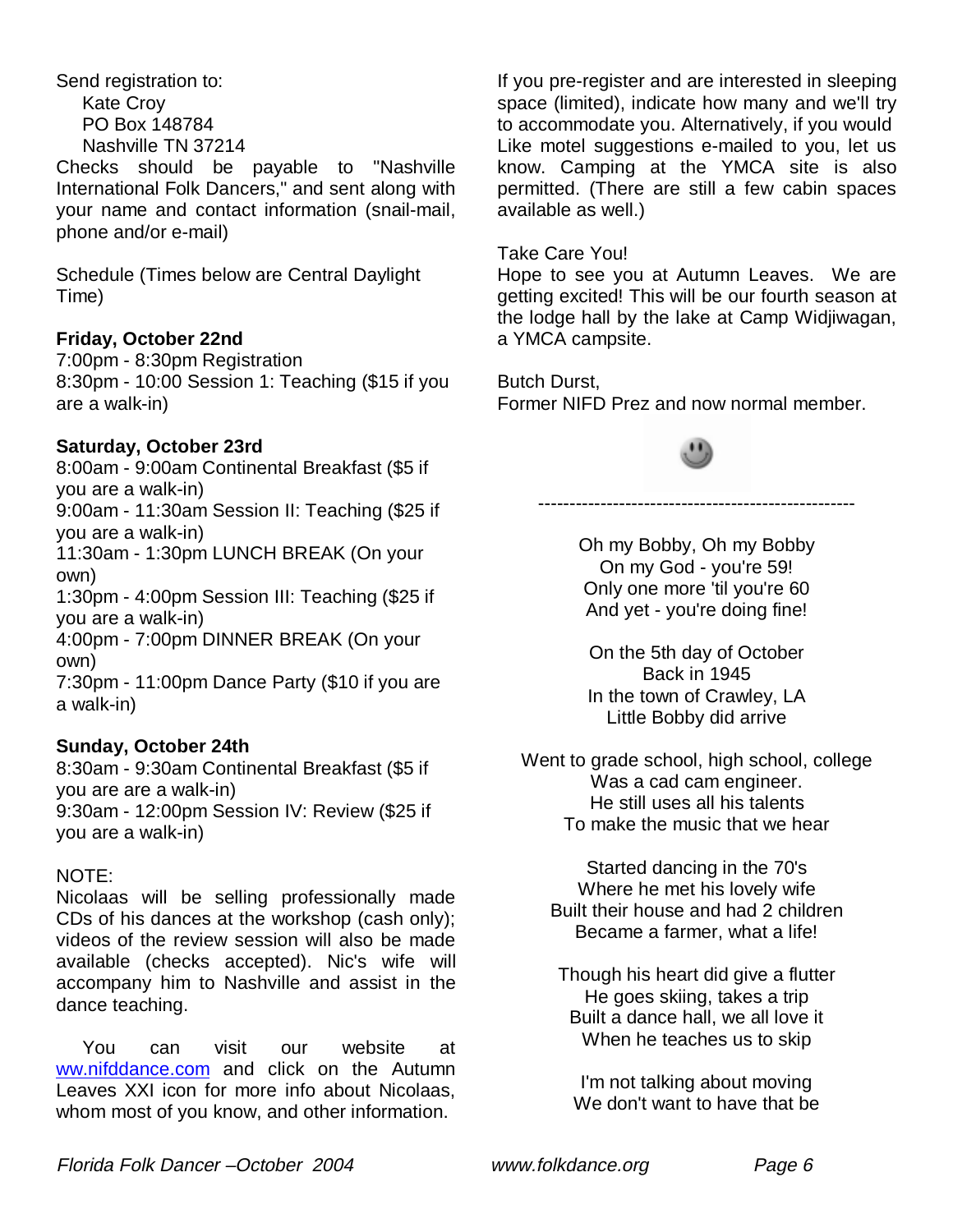Send registration to: Kate Croy PO Box 148784 Nashville TN 37214

Checks should be payable to "Nashville International Folk Dancers," and sent along with your name and contact information (snail-mail, phone and/or e-mail)

Schedule (Times below are Central Daylight Time)

# **Friday, October 22nd**

7:00pm - 8:30pm Registration 8:30pm - 10:00 Session 1: Teaching (\$15 if you are a walk-in)

# **Saturday, October 23rd**

8:00am - 9:00am Continental Breakfast (\$5 if you are a walk-in)

9:00am - 11:30am Session II: Teaching (\$25 if you are a walk-in)

11:30am - 1:30pm LUNCH BREAK (On your own)

1:30pm - 4:00pm Session III: Teaching (\$25 if you are a walk-in)

4:00pm - 7:00pm DINNER BREAK (On your own)

7:30pm - 11:00pm Dance Party (\$10 if you are a walk-in)

### **Sunday, October 24th**

8:30am - 9:30am Continental Breakfast (\$5 if you are are a walk-in)

9:30am - 12:00pm Session IV: Review (\$25 if you are a walk-in)

### NOTE:

Nicolaas will be selling professionally made CDs of his dances at the workshop (cash only); videos of the review session will also be made available (checks accepted). Nic's wife will accompany him to Nashville and assist in the dance teaching.

 You can visit our website at ww.nifddance.com and click on the Autumn Leaves XXI icon for more info about Nicolaas, whom most of you know, and other information.

If you pre-register and are interested in sleeping space (limited), indicate how many and we'll try to accommodate you. Alternatively, if you would Like motel suggestions e-mailed to you, let us know. Camping at the YMCA site is also permitted. (There are still a few cabin spaces available as well.)

### Take Care You!

Hope to see you at Autumn Leaves. We are getting excited! This will be our fourth season at the lodge hall by the lake at Camp Widjiwagan, a YMCA campsite.

Butch Durst, Former NIFD Prez and now normal member.



---------------------------------------------------

Oh my Bobby, Oh my Bobby On my God - you're 59! Only one more 'til you're 60 And yet - you're doing fine!

On the 5th day of October Back in 1945 In the town of Crawley, LA Little Bobby did arrive

Went to grade school, high school, college Was a cad cam engineer. He still uses all his talents To make the music that we hear

Started dancing in the 70's Where he met his lovely wife Built their house and had 2 children Became a farmer, what a life!

Though his heart did give a flutter He goes skiing, takes a trip Built a dance hall, we all love it When he teaches us to skip

I'm not talking about moving We don't want to have that be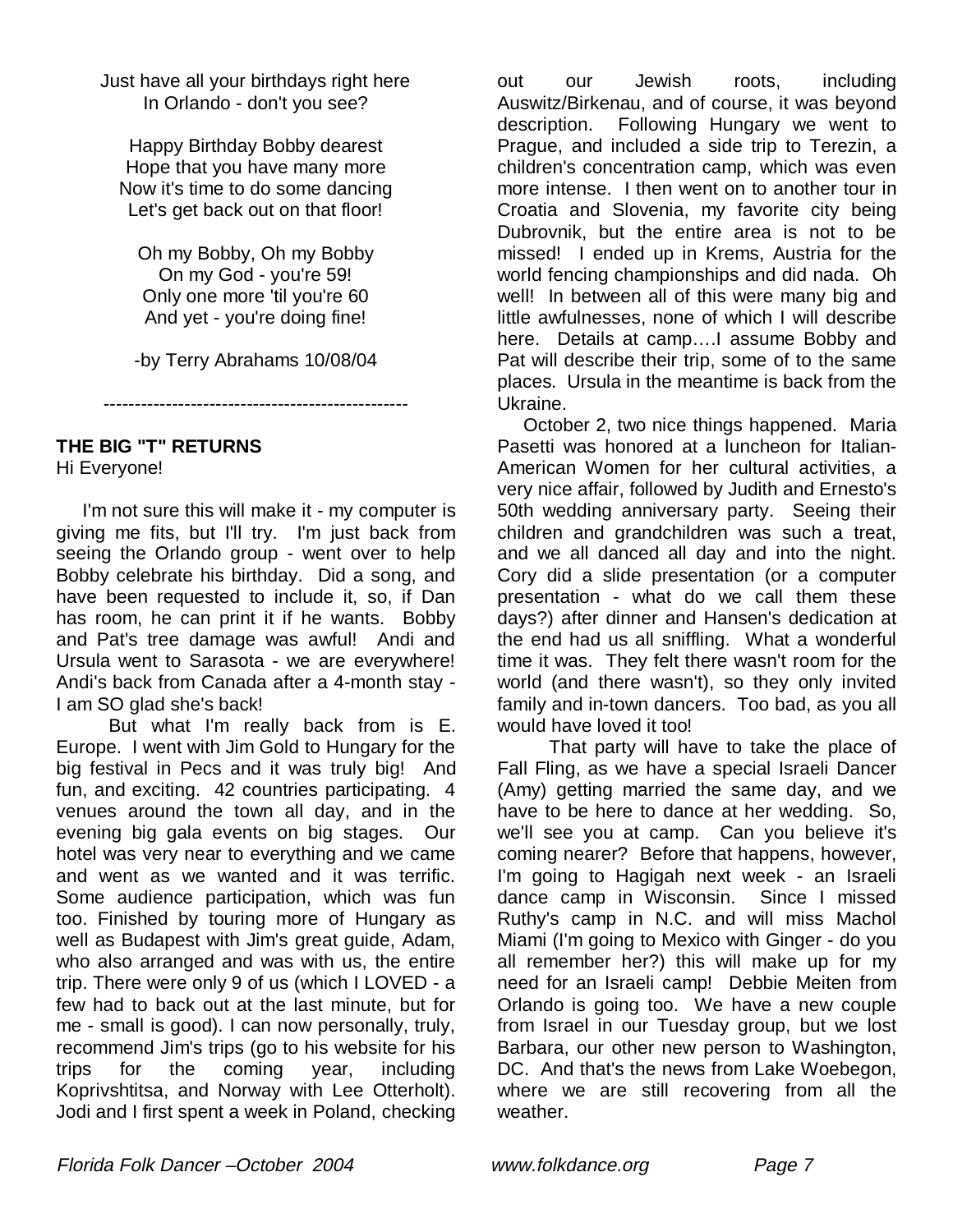Just have all your birthdays right here In Orlando - don't you see?

Happy Birthday Bobby dearest Hope that you have many more Now it's time to do some dancing Let's get back out on that floor!

Oh my Bobby, Oh my Bobby On my God - you're 59! Only one more 'til you're 60 And yet - you're doing fine!

-by Terry Abrahams 10/08/04

-------------------------------------------------

# **THE BIG "T" RETURNS**

Hi Everyone!

 I'm not sure this will make it - my computer is giving me fits, but I'll try. I'm just back from seeing the Orlando group - went over to help Bobby celebrate his birthday. Did a song, and have been requested to include it, so, if Dan has room, he can print it if he wants. Bobby and Pat's tree damage was awful! Andi and Ursula went to Sarasota - we are everywhere! Andi's back from Canada after a 4-month stay - I am SO glad she's back!

 But what I'm really back from is E. Europe. I went with Jim Gold to Hungary for the big festival in Pecs and it was truly big! And fun, and exciting. 42 countries participating. 4 venues around the town all day, and in the evening big gala events on big stages. Our hotel was very near to everything and we came and went as we wanted and it was terrific. Some audience participation, which was fun too. Finished by touring more of Hungary as well as Budapest with Jim's great guide, Adam, who also arranged and was with us, the entire trip. There were only 9 of us (which I LOVED - a few had to back out at the last minute, but for me - small is good). I can now personally, truly, recommend Jim's trips (go to his website for his trips for the coming year, including Koprivshtitsa, and Norway with Lee Otterholt). Jodi and I first spent a week in Poland, checking

out our Jewish roots, including Auswitz/Birkenau, and of course, it was beyond description. Following Hungary we went to Prague, and included a side trip to Terezin, a children's concentration camp, which was even more intense. I then went on to another tour in Croatia and Slovenia, my favorite city being Dubrovnik, but the entire area is not to be missed! I ended up in Krems, Austria for the world fencing championships and did nada. Oh well! In between all of this were many big and little awfulnesses, none of which I will describe here. Details at camp….I assume Bobby and Pat will describe their trip, some of to the same places. Ursula in the meantime is back from the Ukraine.

 October 2, two nice things happened. Maria Pasetti was honored at a luncheon for Italian-American Women for her cultural activities, a very nice affair, followed by Judith and Ernesto's 50th wedding anniversary party. Seeing their children and grandchildren was such a treat, and we all danced all day and into the night. Cory did a slide presentation (or a computer presentation - what do we call them these days?) after dinner and Hansen's dedication at the end had us all sniffling. What a wonderful time it was. They felt there wasn't room for the world (and there wasn't), so they only invited family and in-town dancers. Too bad, as you all would have loved it too!

 That party will have to take the place of Fall Fling, as we have a special Israeli Dancer (Amy) getting married the same day, and we have to be here to dance at her wedding. So, we'll see you at camp. Can you believe it's coming nearer? Before that happens, however, I'm going to Hagigah next week - an Israeli dance camp in Wisconsin. Since I missed Ruthy's camp in N.C. and will miss Machol Miami (I'm going to Mexico with Ginger - do you all remember her?) this will make up for my need for an Israeli camp! Debbie Meiten from Orlando is going too. We have a new couple from Israel in our Tuesday group, but we lost Barbara, our other new person to Washington, DC. And that's the news from Lake Woebegon, where we are still recovering from all the weather.